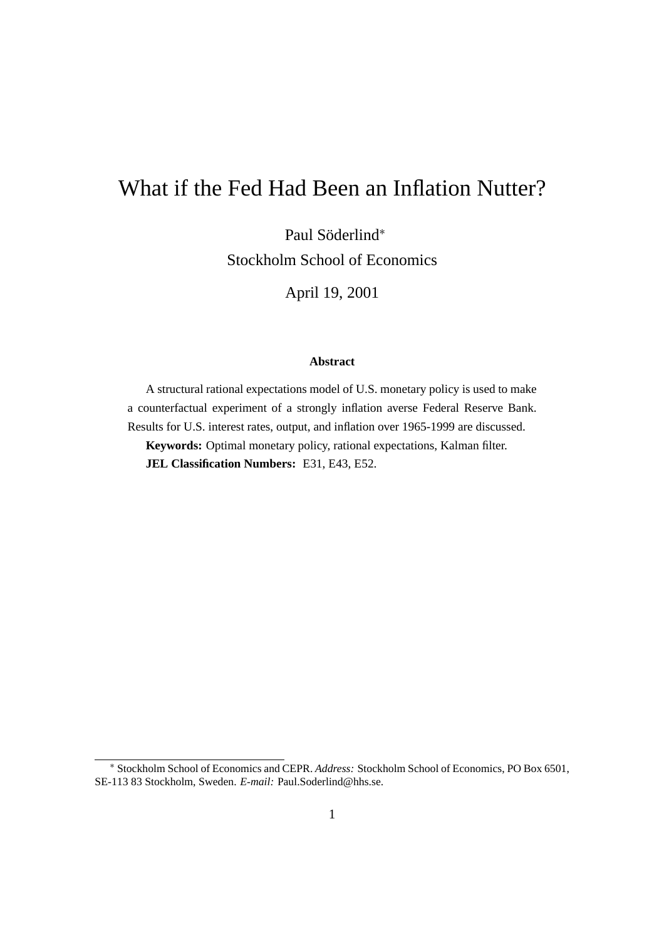# What if the Fed Had Been an Inflation Nutter?

Paul Söderlind<sup>\*</sup> Stockholm School of Economics

April 19, 2001

#### **Abstract**

A structural rational expectations model of U.S. monetary policy is used to make a counterfactual experiment of a strongly inflation averse Federal Reserve Bank. Results for U.S. interest rates, output, and inflation over 1965-1999 are discussed. **Keywords:** Optimal monetary policy, rational expectations, Kalman filter.

**JEL Classification Numbers:** E31, E43, E52.

<sup>∗</sup> Stockholm School of Economics and CEPR. *Address:* Stockholm School of Economics, PO Box 6501, SE-113 83 Stockholm, Sweden. *E-mail:* Paul.Soderlind@hhs.se.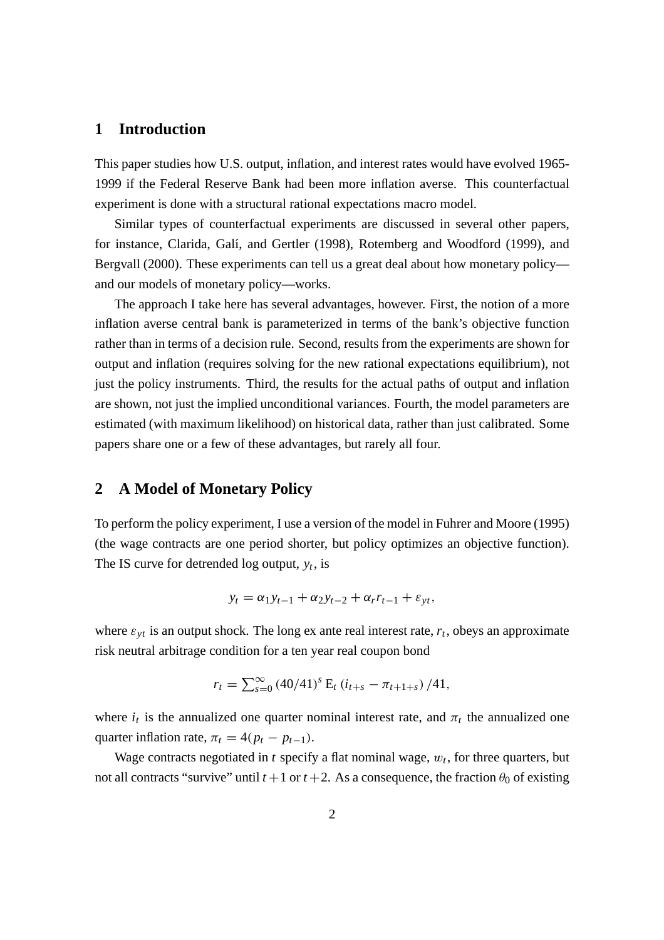### **1 Introduction**

This paper studies how U.S. output, inflation, and interest rates would have evolved 1965- 1999 if the Federal Reserve Bank had been more inflation averse. This counterfactual experiment is done with a structural rational expectations macro model.

Similar types of counterfactual experiments are discussed in several other papers, for instance, Clarida, Galí, and Gertler (1998), Rotemberg and Woodford (1999), and Bergvall (2000). These experiments can tell us a great deal about how monetary policy and our models of monetary policy—works.

The approach I take here has several advantages, however. First, the notion of a more inflation averse central bank is parameterized in terms of the bank's objective function rather than in terms of a decision rule. Second, results from the experiments are shown for output and inflation (requires solving for the new rational expectations equilibrium), not just the policy instruments. Third, the results for the actual paths of output and inflation are shown, not just the implied unconditional variances. Fourth, the model parameters are estimated (with maximum likelihood) on historical data, rather than just calibrated. Some papers share one or a few of these advantages, but rarely all four.

#### **2 A Model of Monetary Policy**

To perform the policy experiment, I use a version of the model in Fuhrer and Moore (1995) (the wage contracts are one period shorter, but policy optimizes an objective function). The IS curve for detrended log output,  $y_t$ , is

$$
y_t = \alpha_1 y_{t-1} + \alpha_2 y_{t-2} + \alpha_r r_{t-1} + \varepsilon_{yt},
$$

where  $\varepsilon_{vt}$  is an output shock. The long ex ante real interest rate,  $r_t$ , obeys an approximate risk neutral arbitrage condition for a ten year real coupon bond

$$
r_t = \sum_{s=0}^{\infty} (40/41)^s E_t (i_{t+s} - \pi_{t+1+s}) / 41,
$$

where  $i_t$  is the annualized one quarter nominal interest rate, and  $\pi_t$  the annualized one quarter inflation rate,  $\pi_t = 4(p_t - p_{t-1}).$ 

Wage contracts negotiated in  $t$  specify a flat nominal wage,  $w_t$ , for three quarters, but not all contracts "survive" until  $t + 1$  or  $t + 2$ . As a consequence, the fraction  $\theta_0$  of existing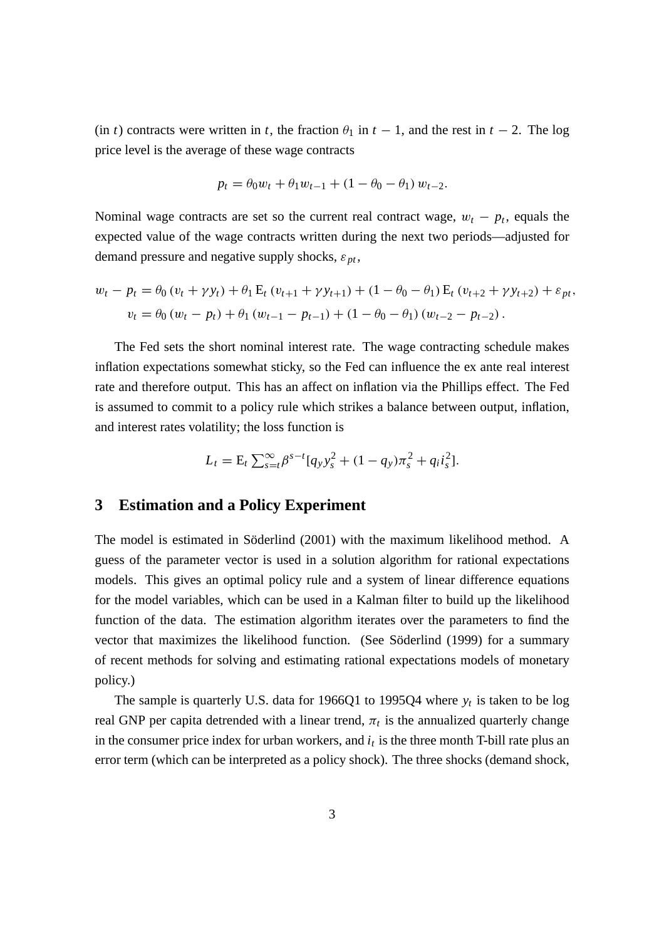(in *t*) contracts were written in *t*, the fraction  $\theta_1$  in  $t - 1$ , and the rest in  $t - 2$ . The log price level is the average of these wage contracts

$$
p_t = \theta_0 w_t + \theta_1 w_{t-1} + (1 - \theta_0 - \theta_1) w_{t-2}.
$$

Nominal wage contracts are set so the current real contract wage,  $w_t - p_t$ , equals the expected value of the wage contracts written during the next two periods—adjusted for demand pressure and negative supply shocks,  $\varepsilon_{pt}$ ,

$$
w_t - p_t = \theta_0 (v_t + \gamma y_t) + \theta_1 E_t (v_{t+1} + \gamma y_{t+1}) + (1 - \theta_0 - \theta_1) E_t (v_{t+2} + \gamma y_{t+2}) + \varepsilon_{pt},
$$
  

$$
v_t = \theta_0 (w_t - p_t) + \theta_1 (w_{t-1} - p_{t-1}) + (1 - \theta_0 - \theta_1) (w_{t-2} - p_{t-2}).
$$

The Fed sets the short nominal interest rate. The wage contracting schedule makes inflation expectations somewhat sticky, so the Fed can influence the ex ante real interest rate and therefore output. This has an affect on inflation via the Phillips effect. The Fed is assumed to commit to a policy rule which strikes a balance between output, inflation, and interest rates volatility; the loss function is

$$
L_t = \mathcal{E}_t \sum_{s=t}^{\infty} \beta^{s-t} [q_y y_s^2 + (1 - q_y) \pi_s^2 + q_i i_s^2].
$$

#### **3 Estimation and a Policy Experiment**

The model is estimated in Söderlind (2001) with the maximum likelihood method. A guess of the parameter vector is used in a solution algorithm for rational expectations models. This gives an optimal policy rule and a system of linear difference equations for the model variables, which can be used in a Kalman filter to build up the likelihood function of the data. The estimation algorithm iterates over the parameters to find the vector that maximizes the likelihood function. (See Söderlind (1999) for a summary of recent methods for solving and estimating rational expectations models of monetary policy.)

The sample is quarterly U.S. data for 1966Q1 to 1995Q4 where *yt* is taken to be log real GNP per capita detrended with a linear trend,  $\pi_t$  is the annualized quarterly change in the consumer price index for urban workers, and  $i_t$  is the three month T-bill rate plus an error term (which can be interpreted as a policy shock). The three shocks (demand shock,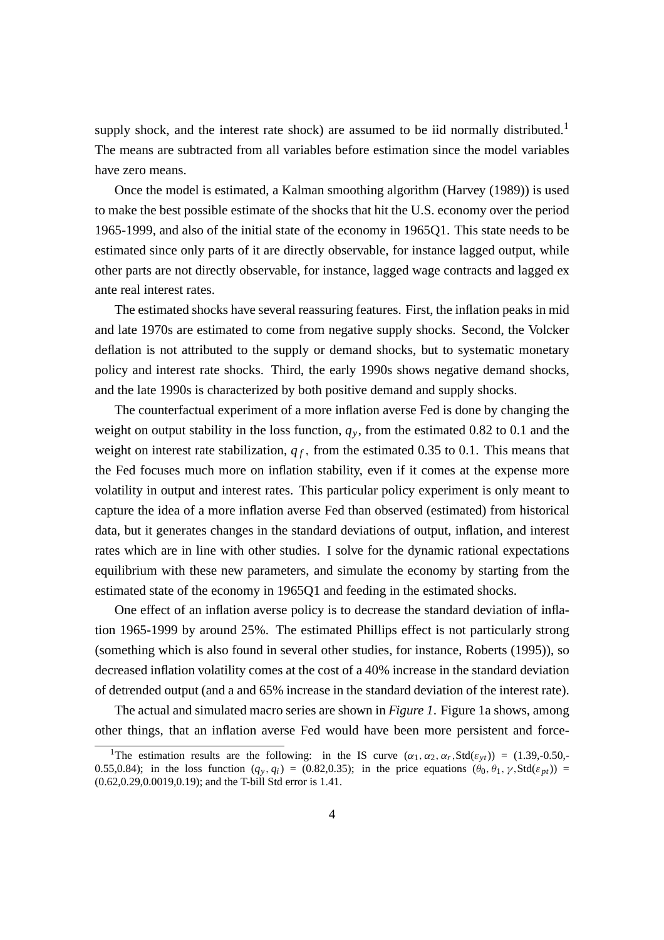supply shock, and the interest rate shock) are assumed to be iid normally distributed.<sup>1</sup> The means are subtracted from all variables before estimation since the model variables have zero means.

Once the model is estimated, a Kalman smoothing algorithm (Harvey (1989)) is used to make the best possible estimate of the shocks that hit the U.S. economy over the period 1965-1999, and also of the initial state of the economy in 1965Q1. This state needs to be estimated since only parts of it are directly observable, for instance lagged output, while other parts are not directly observable, for instance, lagged wage contracts and lagged ex ante real interest rates.

The estimated shocks have several reassuring features. First, the inflation peaks in mid and late 1970s are estimated to come from negative supply shocks. Second, the Volcker deflation is not attributed to the supply or demand shocks, but to systematic monetary policy and interest rate shocks. Third, the early 1990s shows negative demand shocks, and the late 1990s is characterized by both positive demand and supply shocks.

The counterfactual experiment of a more inflation averse Fed is done by changing the weight on output stability in the loss function,  $q<sub>y</sub>$ , from the estimated 0.82 to 0.1 and the weight on interest rate stabilization,  $q_f$ , from the estimated 0.35 to 0.1. This means that the Fed focuses much more on inflation stability, even if it comes at the expense more volatility in output and interest rates. This particular policy experiment is only meant to capture the idea of a more inflation averse Fed than observed (estimated) from historical data, but it generates changes in the standard deviations of output, inflation, and interest rates which are in line with other studies. I solve for the dynamic rational expectations equilibrium with these new parameters, and simulate the economy by starting from the estimated state of the economy in 1965Q1 and feeding in the estimated shocks.

One effect of an inflation averse policy is to decrease the standard deviation of inflation 1965-1999 by around 25%. The estimated Phillips effect is not particularly strong (something which is also found in several other studies, for instance, Roberts (1995)), so decreased inflation volatility comes at the cost of a 40% increase in the standard deviation of detrended output (and a and 65% increase in the standard deviation of the interest rate).

The actual and simulated macro series are shown in *Figure 1*. Figure 1a shows, among other things, that an inflation averse Fed would have been more persistent and force-

<sup>&</sup>lt;sup>1</sup>The estimation results are the following: in the IS curve  $(\alpha_1, \alpha_2, \alpha_r, \text{Std}(\varepsilon_{yt})) = (1.39, -0.50, -0.50, -0.50, -0.50)$ 0.55,0.84); in the loss function  $(q_y, q_i) = (0.82, 0.35)$ ; in the price equations  $(\theta_0, \theta_1, \gamma, \text{Std}(\varepsilon_{pt}))$  = (0.62,0.29,0.0019,0.19); and the T-bill Std error is 1.41.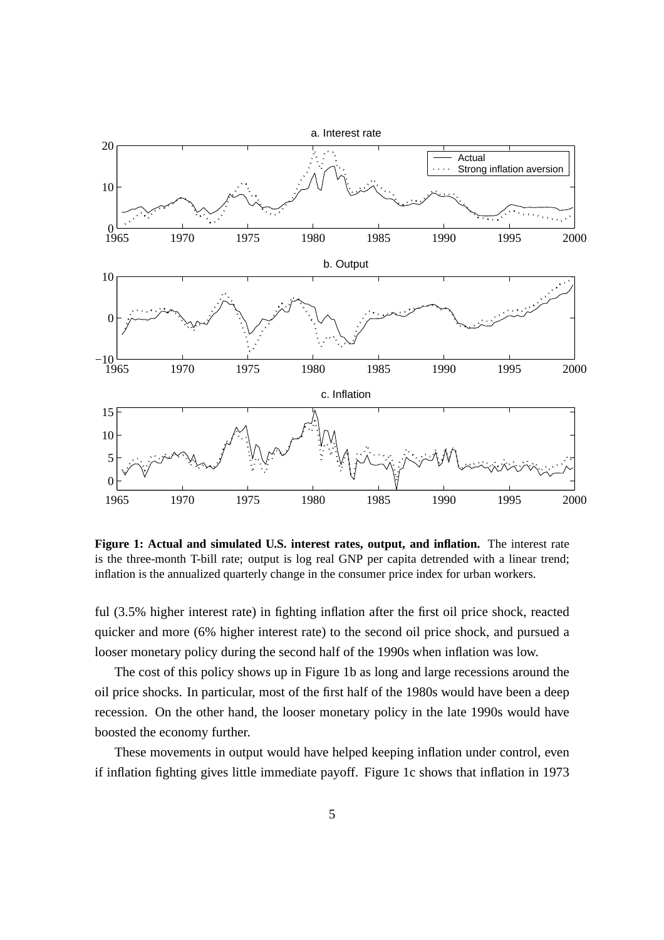

**Figure 1: Actual and simulated U.S. interest rates, output, and inflation.** The interest rate is the three-month T-bill rate; output is log real GNP per capita detrended with a linear trend; inflation is the annualized quarterly change in the consumer price index for urban workers.

ful (3.5% higher interest rate) in fighting inflation after the first oil price shock, reacted quicker and more (6% higher interest rate) to the second oil price shock, and pursued a looser monetary policy during the second half of the 1990s when inflation was low.

The cost of this policy shows up in Figure 1b as long and large recessions around the oil price shocks. In particular, most of the first half of the 1980s would have been a deep recession. On the other hand, the looser monetary policy in the late 1990s would have boosted the economy further.

These movements in output would have helped keeping inflation under control, even if inflation fighting gives little immediate payoff. Figure 1c shows that inflation in 1973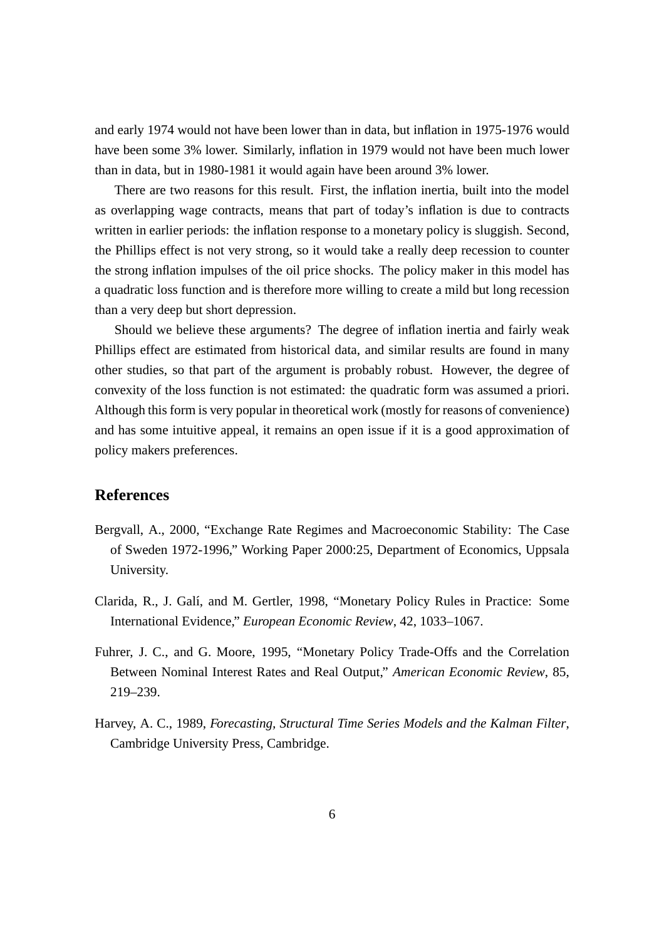and early 1974 would not have been lower than in data, but inflation in 1975-1976 would have been some 3% lower. Similarly, inflation in 1979 would not have been much lower than in data, but in 1980-1981 it would again have been around 3% lower.

There are two reasons for this result. First, the inflation inertia, built into the model as overlapping wage contracts, means that part of today's inflation is due to contracts written in earlier periods: the inflation response to a monetary policy is sluggish. Second, the Phillips effect is not very strong, so it would take a really deep recession to counter the strong inflation impulses of the oil price shocks. The policy maker in this model has a quadratic loss function and is therefore more willing to create a mild but long recession than a very deep but short depression.

Should we believe these arguments? The degree of inflation inertia and fairly weak Phillips effect are estimated from historical data, and similar results are found in many other studies, so that part of the argument is probably robust. However, the degree of convexity of the loss function is not estimated: the quadratic form was assumed a priori. Although this form is very popular in theoretical work (mostly for reasons of convenience) and has some intuitive appeal, it remains an open issue if it is a good approximation of policy makers preferences.

## **References**

- Bergvall, A., 2000, "Exchange Rate Regimes and Macroeconomic Stability: The Case of Sweden 1972-1996," Working Paper 2000:25, Department of Economics, Uppsala University.
- Clarida, R., J. Galí, and M. Gertler, 1998, "Monetary Policy Rules in Practice: Some International Evidence," *European Economic Review*, 42, 1033–1067.
- Fuhrer, J. C., and G. Moore, 1995, "Monetary Policy Trade-Offs and the Correlation Between Nominal Interest Rates and Real Output," *American Economic Review*, 85, 219–239.
- Harvey, A. C., 1989, *Forecasting, Structural Time Series Models and the Kalman Filter*, Cambridge University Press, Cambridge.